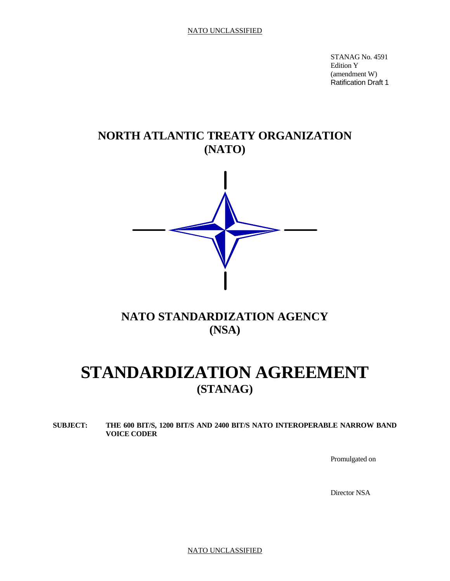STANAG No. 4591 Edition Y (amendment W) Ratification Draft 1

# **NORTH ATLANTIC TREATY ORGANIZATION (NATO)**



# **NATO STANDARDIZATION AGENCY (NSA)**

# **STANDARDIZATION AGREEMENT (STANAG)**

**SUBJECT: THE 600 BIT/S, 1200 BIT/S AND 2400 BIT/S NATO INTEROPERABLE NARROW BAND VOICE CODER** 

Promulgated on

Director NSA

NATO UNCLASSIFIED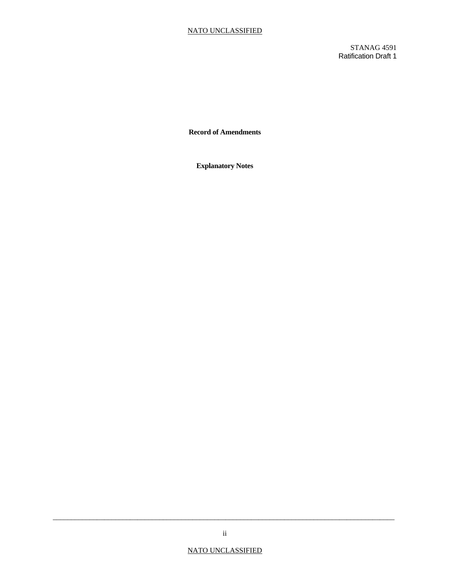STANAG 4591 Ratification Draft 1

**Record of Amendments** 

**Explanatory Notes** 

\_\_\_\_\_\_\_\_\_\_\_\_\_\_\_\_\_\_\_\_\_\_\_\_\_\_\_\_\_\_\_\_\_\_\_\_\_\_\_\_\_\_\_\_\_\_\_\_\_\_\_\_\_\_\_\_\_\_\_\_\_\_\_\_\_\_\_\_\_\_\_\_\_\_\_\_\_\_\_\_\_\_\_\_\_\_\_\_\_\_\_\_\_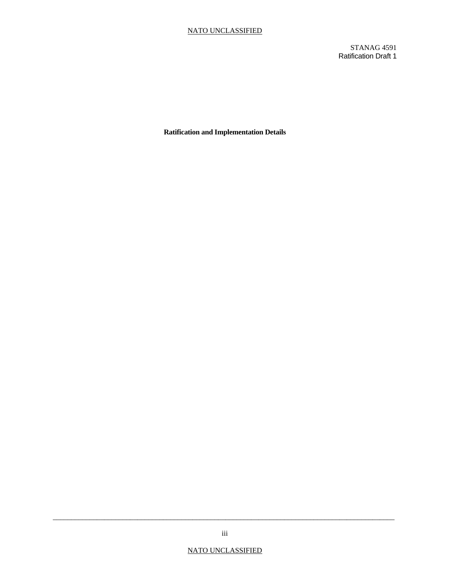STANAG 4591 Ratification Draft 1

**Ratification and Implementation Details** 

NATO UNCLASSIFIED

\_\_\_\_\_\_\_\_\_\_\_\_\_\_\_\_\_\_\_\_\_\_\_\_\_\_\_\_\_\_\_\_\_\_\_\_\_\_\_\_\_\_\_\_\_\_\_\_\_\_\_\_\_\_\_\_\_\_\_\_\_\_\_\_\_\_\_\_\_\_\_\_\_\_\_\_\_\_\_\_\_\_\_\_\_\_\_\_\_\_\_\_\_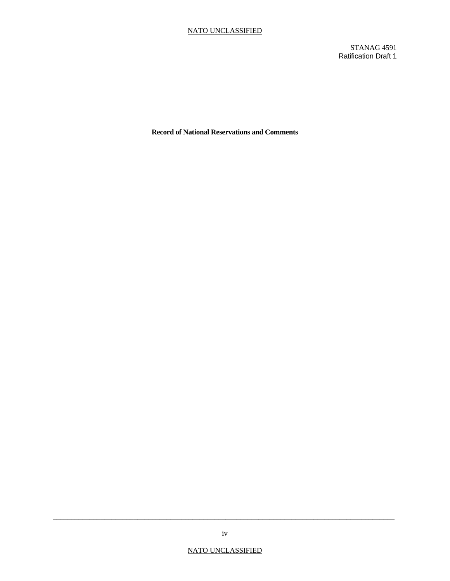STANAG 4591 Ratification Draft 1

**Record of National Reservations and Comments** 

\_\_\_\_\_\_\_\_\_\_\_\_\_\_\_\_\_\_\_\_\_\_\_\_\_\_\_\_\_\_\_\_\_\_\_\_\_\_\_\_\_\_\_\_\_\_\_\_\_\_\_\_\_\_\_\_\_\_\_\_\_\_\_\_\_\_\_\_\_\_\_\_\_\_\_\_\_\_\_\_\_\_\_\_\_\_\_\_\_\_\_\_\_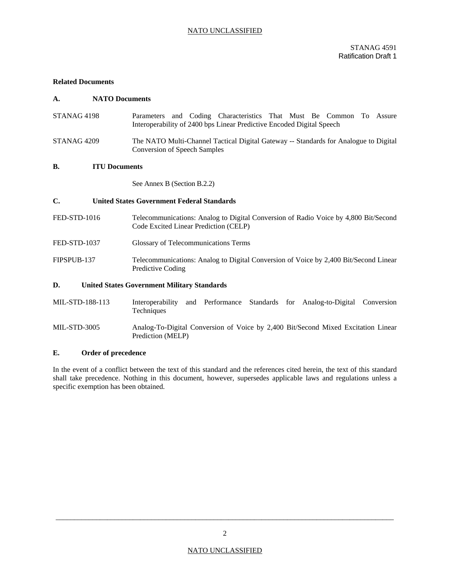#### **Related Documents**

#### **A. NATO Documents**

- STANAG 4198 Parameters and Coding Characteristics That Must Be Common To Assure Interoperability of 2400 bps Linear Predictive Encoded Digital Speech
- STANAG 4209 The NATO Multi-Channel Tactical Digital Gateway -- Standards for Analogue to Digital Conversion of Speech Samples

#### **B. ITU Documents**

See Annex B (Section B.2.2)

#### **C. United States Government Federal Standards**

- FED-STD-1016 Telecommunications: Analog to Digital Conversion of Radio Voice by 4,800 Bit/Second Code Excited Linear Prediction (CELP)
- FED-STD-1037 Glossary of Telecommunications Terms
- FIPSPUB-137 Telecommunications: Analog to Digital Conversion of Voice by 2,400 Bit/Second Linear Predictive Coding

#### **D. United States Government Military Standards**

- MIL-STD-188-113 Interoperability and Performance Standards for Analog-to-Digital Conversion Techniques
- MIL-STD-3005 Analog-To-Digital Conversion of Voice by 2,400 Bit/Second Mixed Excitation Linear Prediction (MELP)

#### **E. Order of precedence**

In the event of a conflict between the text of this standard and the references cited herein, the text of this standard shall take precedence. Nothing in this document, however, supersedes applicable laws and regulations unless a specific exemption has been obtained.

\_\_\_\_\_\_\_\_\_\_\_\_\_\_\_\_\_\_\_\_\_\_\_\_\_\_\_\_\_\_\_\_\_\_\_\_\_\_\_\_\_\_\_\_\_\_\_\_\_\_\_\_\_\_\_\_\_\_\_\_\_\_\_\_\_\_\_\_\_\_\_\_\_\_\_\_\_\_\_\_\_\_\_\_\_\_\_\_\_\_\_\_